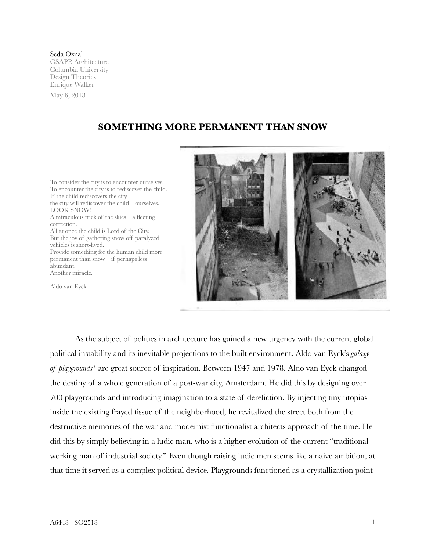Seda Oznal GSAPP, Architecture Columbia University Design Theories Enrique Walker May 6, 2018

## **SOMETHING MORE PERMANENT THAN SNOW**

To consider the city is to encounter ourselves. To encounter the city is to rediscover the child. If the child rediscovers the city, the city will rediscover the child – ourselves. LOOK SNOW! A miraculous trick of the skies – a fleeting correction. All at once the child is Lord of the City. But the joy of gathering snow off paralyzed vehicles is short-lived. Provide something for the human child more permanent than snow – if perhaps less abundant. Another miracle.

Aldo van Eyck



As the subject of politics in architecture has gained a new urgency with the current global political instability and its inevitable projections to the built environment, Aldo van Eyck's *galaxy of playgrounds1* are great source of inspiration. Between 1947 and 1978, Aldo van Eyck changed the destiny of a whole generation of a post-war city, Amsterdam. He did this by designing over 700 playgrounds and introducing imagination to a state of dereliction. By injecting tiny utopias inside the existing frayed tissue of the neighborhood, he revitalized the street both from the destructive memories of the war and modernist functionalist architects approach of the time. He did this by simply believing in a ludic man, who is a higher evolution of the current "traditional working man of industrial society." Even though raising ludic men seems like a naive ambition, at that time it served as a complex political device. Playgrounds functioned as a crystallization point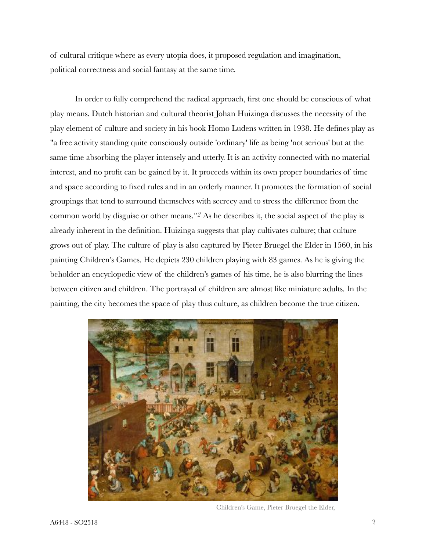of cultural critique where as every utopia does, it proposed regulation and imagination, political correctness and social fantasy at the same time.

In order to fully comprehend the radical approach, first one should be conscious of what play means. Dutch historian and cultural theorist Johan Huizinga discusses the necessity of the play element of culture and society in his book Homo Ludens written in 1938. He defines play as "a free activity standing quite consciously outside 'ordinary' life as being 'not serious' but at the same time absorbing the player intensely and utterly. It is an activity connected with no material interest, and no profit can be gained by it. It proceeds within its own proper boundaries of time and space according to fixed rules and in an orderly manner. It promotes the formation of social groupings that tend to surround themselves with secrecy and to stress the difference from the common world by disguise or other means."*2* As he describes it, the social aspect of the play is already inherent in the definition. Huizinga suggests that play cultivates culture; that culture grows out of play. The culture of play is also captured by Pieter Bruegel the Elder in 1560, in his painting Children's Games. He depicts 230 children playing with 83 games. As he is giving the beholder an encyclopedic view of the children's games of his time, he is also blurring the lines between citizen and children. The portrayal of children are almost like miniature adults. In the painting, the city becomes the space of play thus culture, as children become the true citizen.



Children's Game, Pieter Bruegel the Elder,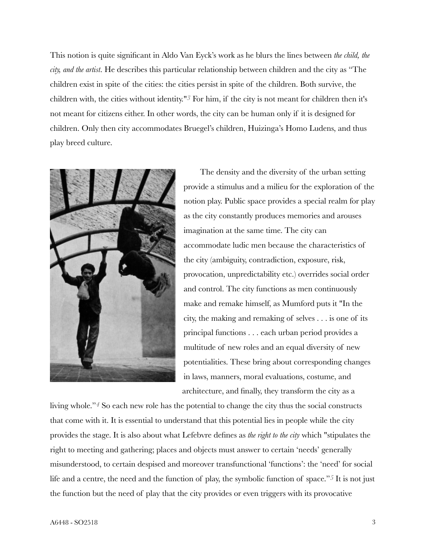This notion is quite significant in Aldo Van Eyck's work as he blurs the lines between *the child, the city, and the artist*. He describes this particular relationship between children and the city as "The children exist in spite of the cities: the cities persist in spite of the children. Both survive, the children with, the cities without identity."*3* For him, if the city is not meant for children then it's not meant for citizens either. In other words, the city can be human only if it is designed for children. Only then city accommodates Bruegel's children, Huizinga's Homo Ludens, and thus play breed culture.



The density and the diversity of the urban setting provide a stimulus and a milieu for the exploration of the notion play. Public space provides a special realm for play as the city constantly produces memories and arouses imagination at the same time. The city can accommodate ludic men because the characteristics of the city (ambiguity, contradiction, exposure, risk, provocation, unpredictability etc.) overrides social order and control. The city functions as men continuously make and remake himself, as Mumford puts it "In the city, the making and remaking of selves . . . is one of its principal functions . . . each urban period provides a multitude of new roles and an equal diversity of new potentialities. These bring about corresponding changes in laws, manners, moral evaluations, costume, and architecture, and finally, they transform the city as a

living whole."*4* So each new role has the potential to change the city thus the social constructs that come with it. It is essential to understand that this potential lies in people while the city provides the stage. It is also about what Lefebvre defines as *the right to the city* which "stipulates the right to meeting and gathering; places and objects must answer to certain 'needs' generally misunderstood, to certain despised and moreover transfunctional 'functions': the 'need' for social life and a centre, the need and the function of play, the symbolic function of space."*5* It is not just the function but the need of play that the city provides or even triggers with its provocative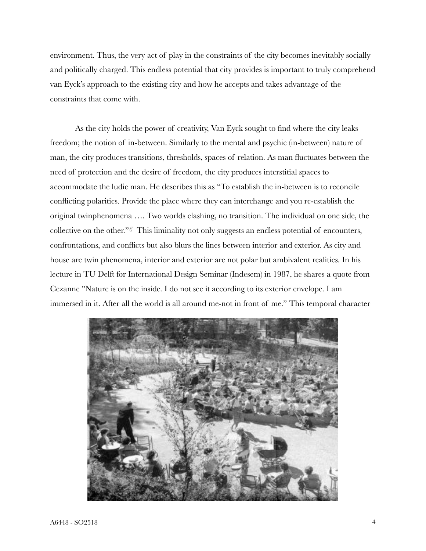environment. Thus, the very act of play in the constraints of the city becomes inevitably socially and politically charged. This endless potential that city provides is important to truly comprehend van Eyck's approach to the existing city and how he accepts and takes advantage of the constraints that come with.

As the city holds the power of creativity, Van Eyck sought to find where the city leaks freedom; the notion of in-between. Similarly to the mental and psychic (in-between) nature of man, the city produces transitions, thresholds, spaces of relation. As man fluctuates between the need of protection and the desire of freedom, the city produces interstitial spaces to accommodate the ludic man. He describes this as "To establish the in-between is to reconcile conflicting polarities. Provide the place where they can interchange and you re-establish the original twinphenomena …. Two worlds clashing, no transition. The individual on one side, the collective on the other."*6* This liminality not only suggests an endless potential of encounters, confrontations, and conflicts but also blurs the lines between interior and exterior. As city and house are twin phenomena, interior and exterior are not polar but ambivalent realities. In his lecture in TU Delft for International Design Seminar (Indesem) in 1987, he shares a quote from Cezanne "Nature is on the inside. I do not see it according to its exterior envelope. I am immersed in it. After all the world is all around me-not in front of me." This temporal character

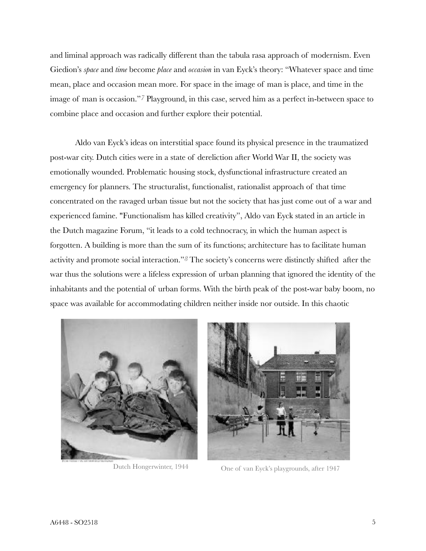and liminal approach was radically different than the tabula rasa approach of modernism. Even Giedion's *space* and *time* become *place* and *occasion* in van Eyck's theory: "Whatever space and time mean, place and occasion mean more. For space in the image of man is place, and time in the image of man is occasion."*7* Playground, in this case, served him as a perfect in-between space to combine place and occasion and further explore their potential.

Aldo van Eyck's ideas on interstitial space found its physical presence in the traumatized post-war city. Dutch cities were in a state of dereliction after World War II, the society was emotionally wounded. Problematic housing stock, dysfunctional infrastructure created an emergency for planners. The structuralist, functionalist, rationalist approach of that time concentrated on the ravaged urban tissue but not the society that has just come out of a war and experienced famine. "Functionalism has killed creativity", Aldo van Eyck stated in an article in the Dutch magazine Forum, "it leads to a cold technocracy, in which the human aspect is forgotten. A building is more than the sum of its functions; architecture has to facilitate human activity and promote social interaction."*8* The society's concerns were distinctly shifted after the war thus the solutions were a lifeless expression of urban planning that ignored the identity of the inhabitants and the potential of urban forms. With the birth peak of the post-war baby boom, no space was available for accommodating children neither inside nor outside. In this chaotic





Dutch Hongerwinter, 1944 One of van Eyck's playgrounds, after 1947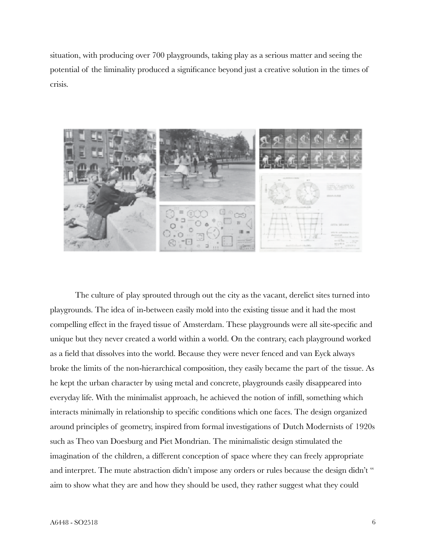situation, with producing over 700 playgrounds, taking play as a serious matter and seeing the potential of the liminality produced a significance beyond just a creative solution in the times of crisis.



The culture of play sprouted through out the city as the vacant, derelict sites turned into playgrounds. The idea of in-between easily mold into the existing tissue and it had the most compelling effect in the frayed tissue of Amsterdam. These playgrounds were all site-specific and unique but they never created a world within a world. On the contrary, each playground worked as a field that dissolves into the world. Because they were never fenced and van Eyck always broke the limits of the non-hierarchical composition, they easily became the part of the tissue. As he kept the urban character by using metal and concrete, playgrounds easily disappeared into everyday life. With the minimalist approach, he achieved the notion of infill, something which interacts minimally in relationship to specific conditions which one faces. The design organized around principles of geometry, inspired from formal investigations of Dutch Modernists of 1920s such as Theo van Doesburg and Piet Mondrian. The minimalistic design stimulated the imagination of the children, a different conception of space where they can freely appropriate and interpret. The mute abstraction didn't impose any orders or rules because the design didn't " aim to show what they are and how they should be used, they rather suggest what they could